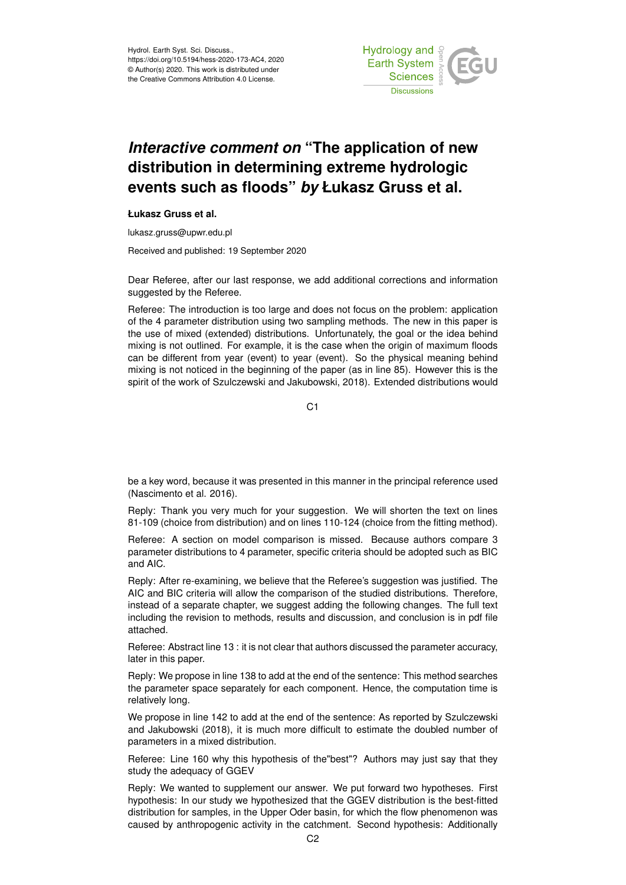

## *Interactive comment on* **"The application of new distribution in determining extreme hydrologic events such as floods"** *by* **Łukasz Gruss et al.**

## **Łukasz Gruss et al.**

lukasz.gruss@upwr.edu.pl

Received and published: 19 September 2020

Dear Referee, after our last response, we add additional corrections and information suggested by the Referee.

Referee: The introduction is too large and does not focus on the problem: application of the 4 parameter distribution using two sampling methods. The new in this paper is the use of mixed (extended) distributions. Unfortunately, the goal or the idea behind mixing is not outlined. For example, it is the case when the origin of maximum floods can be different from year (event) to year (event). So the physical meaning behind mixing is not noticed in the beginning of the paper (as in line 85). However this is the spirit of the work of Szulczewski and Jakubowski, 2018). Extended distributions would

C1

be a key word, because it was presented in this manner in the principal reference used (Nascimento et al. 2016).

Reply: Thank you very much for your suggestion. We will shorten the text on lines 81-109 (choice from distribution) and on lines 110-124 (choice from the fitting method).

Referee: A section on model comparison is missed. Because authors compare 3 parameter distributions to 4 parameter, specific criteria should be adopted such as BIC and AIC.

Reply: After re-examining, we believe that the Referee's suggestion was justified. The AIC and BIC criteria will allow the comparison of the studied distributions. Therefore, instead of a separate chapter, we suggest adding the following changes. The full text including the revision to methods, results and discussion, and conclusion is in pdf file attached.

Referee: Abstract line 13 : it is not clear that authors discussed the parameter accuracy, later in this paper.

Reply: We propose in line 138 to add at the end of the sentence: This method searches the parameter space separately for each component. Hence, the computation time is relatively long.

We propose in line 142 to add at the end of the sentence: As reported by Szulczewski and Jakubowski (2018), it is much more difficult to estimate the doubled number of parameters in a mixed distribution.

Referee: Line 160 why this hypothesis of the"best"? Authors may just say that they study the adequacy of GGEV

Reply: We wanted to supplement our answer. We put forward two hypotheses. First hypothesis: In our study we hypothesized that the GGEV distribution is the best-fitted distribution for samples, in the Upper Oder basin, for which the flow phenomenon was caused by anthropogenic activity in the catchment. Second hypothesis: Additionally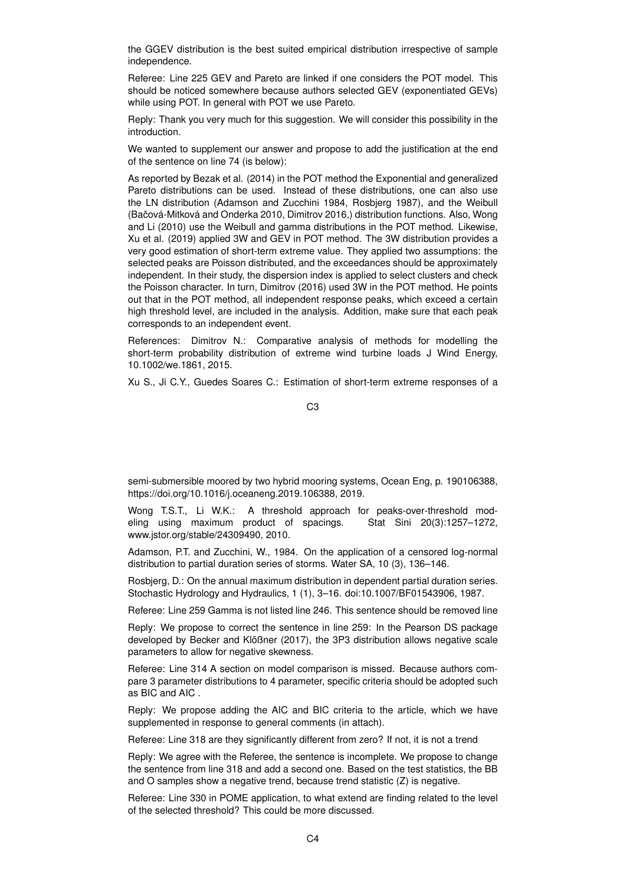the GGEV distribution is the best suited empirical distribution irrespective of sample independence.

Referee: Line 225 GEV and Pareto are linked if one considers the POT model. This should be noticed somewhere because authors selected GEV (exponentiated GEVs) while using POT. In general with POT we use Pareto.

Reply: Thank you very much for this suggestion. We will consider this possibility in the introduction.

We wanted to supplement our answer and propose to add the justification at the end of the sentence on line 74 (is below):

As reported by Bezak et al. (2014) in the POT method the Exponential and generalized Pareto distributions can be used. Instead of these distributions, one can also use the LN distribution (Adamson and Zucchini 1984, Rosbjerg 1987), and the Weibull (Bačová-Mitková and Onderka 2010, Dimitrov 2016,) distribution functions. Also, Wong and Li (2010) use the Weibull and gamma distributions in the POT method. Likewise, Xu et al. (2019) applied 3W and GEV in POT method. The 3W distribution provides a very good estimation of short-term extreme value. They applied two assumptions: the selected peaks are Poisson distributed, and the exceedances should be approximately independent. In their study, the dispersion index is applied to select clusters and check the Poisson character. In turn, Dimitrov (2016) used 3W in the POT method. He points out that in the POT method, all independent response peaks, which exceed a certain high threshold level, are included in the analysis. Addition, make sure that each peak corresponds to an independent event.

References: Dimitrov N.: Comparative analysis of methods for modelling the short-term probability distribution of extreme wind turbine loads J Wind Energy, 10.1002/we.1861, 2015.

Xu S., Ji C.Y., Guedes Soares C.: Estimation of short-term extreme responses of a

C3

semi-submersible moored by two hybrid mooring systems, Ocean Eng, p. 190106388, https://doi.org/10.1016/j.oceaneng.2019.106388, 2019.

Wong T.S.T., Li W.K.: A threshold approach for peaks-over-threshold modeling using maximum product of spacings. Stat Sini 20(3):1257–1272, www.jstor.org/stable/24309490, 2010.

Adamson, P.T. and Zucchini, W., 1984. On the application of a censored log-normal distribution to partial duration series of storms. Water SA, 10 (3), 136–146.

Rosbjerg, D.: On the annual maximum distribution in dependent partial duration series. Stochastic Hydrology and Hydraulics, 1 (1), 3–16. doi:10.1007/BF01543906, 1987.

Referee: Line 259 Gamma is not listed line 246. This sentence should be removed line

Reply: We propose to correct the sentence in line 259: In the Pearson DS package developed by Becker and Klößner (2017), the 3P3 distribution allows negative scale parameters to allow for negative skewness.

Referee: Line 314 A section on model comparison is missed. Because authors compare 3 parameter distributions to 4 parameter, specific criteria should be adopted such as BIC and AIC .

Reply: We propose adding the AIC and BIC criteria to the article, which we have supplemented in response to general comments (in attach).

Referee: Line 318 are they significantly different from zero? If not, it is not a trend

Reply: We agree with the Referee, the sentence is incomplete. We propose to change the sentence from line 318 and add a second one. Based on the test statistics, the BB and O samples show a negative trend, because trend statistic (Z) is negative.

Referee: Line 330 in POME application, to what extend are finding related to the level of the selected threshold? This could be more discussed.